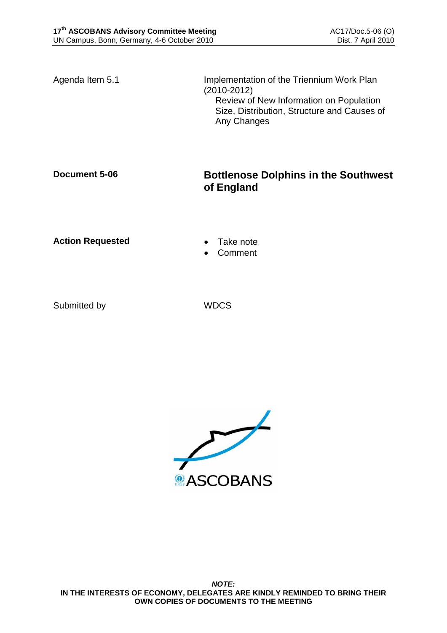Agenda Item 5.1 **Implementation of the Triennium Work Plan** (2010-2012) Review of New Information on Population Size, Distribution, Structure and Causes of Any Changes

## **Document 5-06 Bottlenose Dolphins in the Southwest of England**

**Action Requested • Take note** 

- 
- Comment

Submitted by WDCS

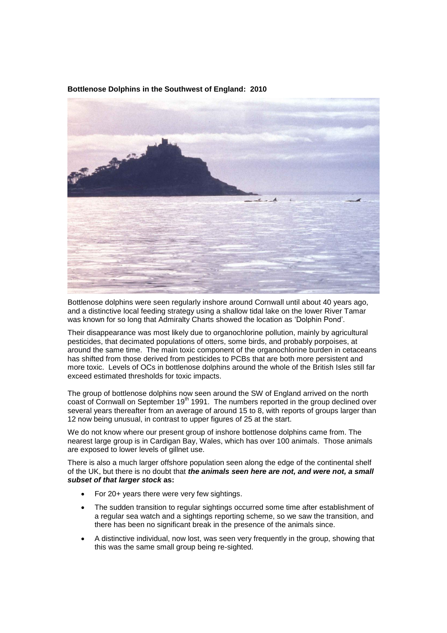

**Bottlenose Dolphins in the Southwest of England: 2010**

Bottlenose dolphins were seen regularly inshore around Cornwall until about 40 years ago, and a distinctive local feeding strategy using a shallow tidal lake on the lower River Tamar was known for so long that Admiralty Charts showed the location as 'Dolphin Pond'.

Their disappearance was most likely due to organochlorine pollution, mainly by agricultural pesticides, that decimated populations of otters, some birds, and probably porpoises, at around the same time. The main toxic component of the organochlorine burden in cetaceans has shifted from those derived from pesticides to PCBs that are both more persistent and more toxic. Levels of OCs in bottlenose dolphins around the whole of the British Isles still far exceed estimated thresholds for toxic impacts.

The group of bottlenose dolphins now seen around the SW of England arrived on the north coast of Cornwall on September 19<sup>th</sup> 1991. The numbers reported in the group declined over several years thereafter from an average of around 15 to 8, with reports of groups larger than 12 now being unusual, in contrast to upper figures of 25 at the start.

We do not know where our present group of inshore bottlenose dolphins came from. The nearest large group is in Cardigan Bay, Wales, which has over 100 animals. Those animals are exposed to lower levels of gillnet use.

There is also a much larger offshore population seen along the edge of the continental shelf of the UK, but there is no doubt that *the animals seen here are not, and were not, a small subset of that larger stock* **as:**

- For 20+ years there were very few sightings.
- The sudden transition to regular sightings occurred some time after establishment of a regular sea watch and a sightings reporting scheme, so we saw the transition, and there has been no significant break in the presence of the animals since.
- A distinctive individual, now lost, was seen very frequently in the group, showing that this was the same small group being re-sighted.